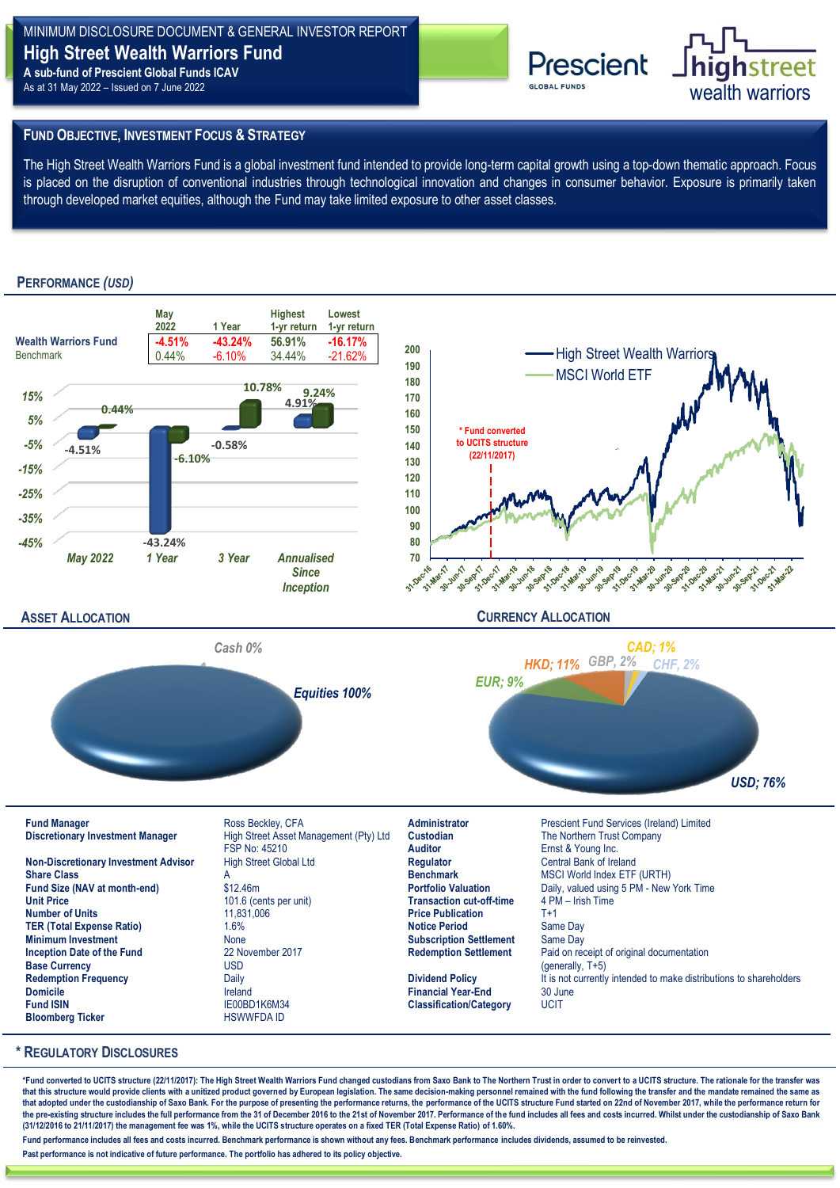# MINIMUM DISCLOSURE DOCUMENT & GENERAL INVESTOR REPORT **High Street Wealth Warriors Fund A sub-fund of Prescient Global Funds ICAV**

As at 31 May 2022 – Issued on 7 June 2022



## **FUND OBJECTIVE, INVESTMENT FOCUS & STRATEGY**

The High Street Wealth Warriors Fund is a global investment fund intended to provide long-term capital growth using a top-down thematic approach. Focus is placed on the disruption of conventional industries through technological innovation and changes in consumer behavior. Exposure is primarily taken through developed market equities, although the Fund may take limited exposure to other asset classes.

# **PERFORMANCE** *(USD)*



#### **\* REGULATORY DISCLOSURES**

\*Fund converted to UCITS structure (22/11/2017): The High Street Wealth Warriors Fund changed custodians from Saxo Bank to The Northern Trust in order to convert to a UCITS structure. The rationale for the transfer was that this structure would provide clients with a unitized product governed by European legislation. The same decision-making personnel remained with the fund following the transfer and the mandate remained the same as **that adopted under the custodianship of Saxo Bank. For the purpose of presenting the performance returns, the performance of the UCITS structure Fund started on 22nd of November 2017, while the performance return for**  the pre-existing structure includes the full performance from the 31 of December 2016 to the 21st of November 2017. Performance of the fund includes all fees and costs incurred. Whilst under the custodianship of Saxo Bank **(31/12/2016 to 21/11/2017) the management fee was 1%, while the UCITS structure operates on a fixed TER (Total Expense Ratio) of 1.60%.** 

**Fund performance includes all fees and costs incurred. Benchmark performance is shown without any fees. Benchmark performance includes dividends, assumed to be reinvested.** 

**Past performance is not indicative of future performance. The portfolio has adhered to its policy objective.**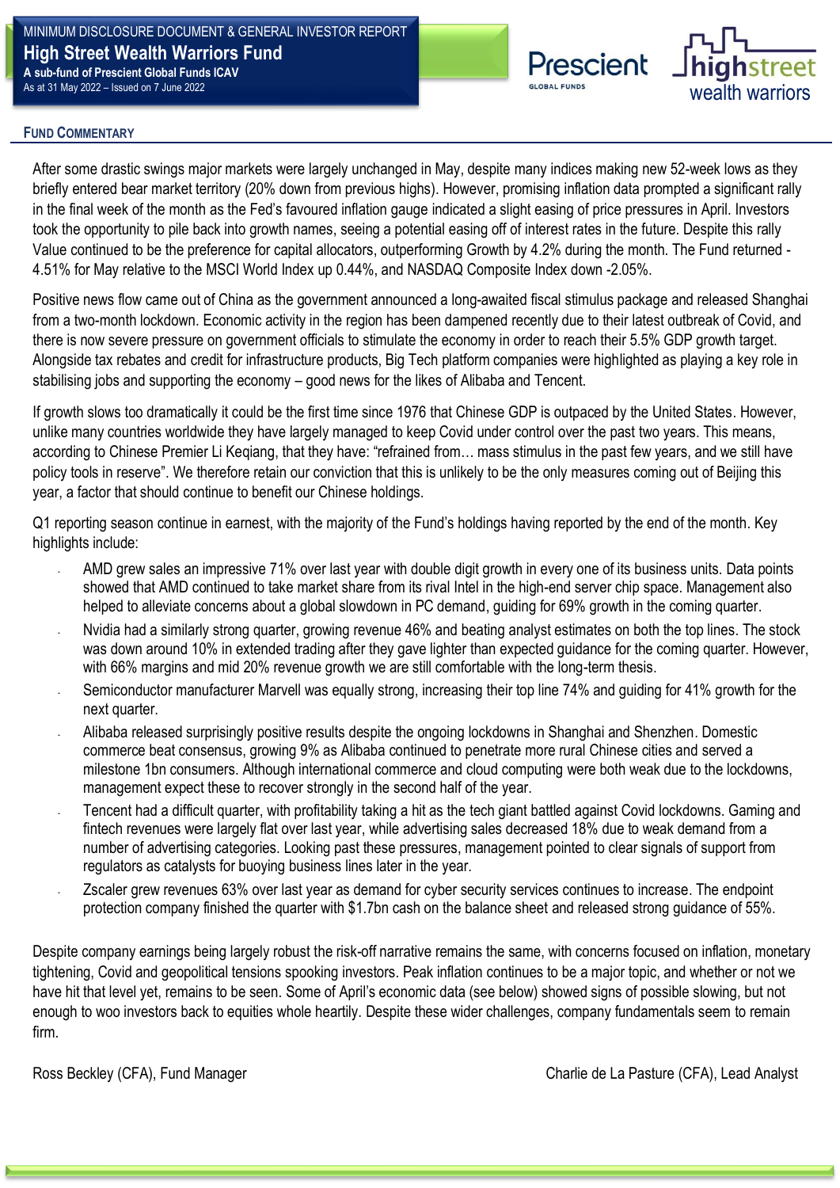## MINIMUM DISCLOSURE DOCUMENT & GENERAL INVESTOR REPORT **High Street Wealth Warriors Fund A sub-fund of Prescient Global Funds ICAV** As at 31 May 2022 – Issued on 7 June 2022



# **RISK & REWARD PROFILE FUND COMMENTARY**

**PORTFOLIO MANAGER MONTHLY COMMENTARY** After some drastic swings major markets were largely unchanged in May, despite many indices making new 52-week lows as they briefly entered bear market territory (20% down from previous highs). However, promising inflation data prompted a significant rally in the final week of the month as the Fed's favoured inflation gauge indicated a slight easing of price pressures in April. Investors took the opportunity to pile back into growth names, seeing a potential easing off of interest rates in the future. Despite this rally Value continued to be the preference for capital allocators, outperforming Growth by 4.2% during the month. The Fund returned - 4.51% for May relative to the MSCI World Index up 0.44%, and NASDAQ Composite Index down -2.05%. **PROPERTY CHUCK**<br>**P** ORTHOLOGICAL AND **PROPERTY** 

Positive news flow came out of China as the government announced a long-awaited fiscal stimulus package and released Shanghai from a two-month lockdown. Economic activity in the region has been dampened recently due to their latest outbreak of Covid, and there is now severe pressure on government officials to stimulate the economy in order to reach their 5.5% GDP growth target. Alongside tax rebates and credit for infrastructure products, Big Tech platform companies were highlighted as playing a key role in stabilising jobs and supporting the economy – good news for the likes of Alibaba and Tencent.

If growth slows too dramatically it could be the first time since 1976 that Chinese GDP is outpaced by the United States. However, unlike many countries worldwide they have largely managed to keep Covid under control over the past two years. This means, according to Chinese Premier Li Keqiang, that they have: "refrained from… mass stimulus in the past few years, and we still have policy tools in reserve". We therefore retain our conviction that this is unlikely to be the only measures coming out of Beijing this year, a factor that should continue to benefit our Chinese holdings.

Q1 reporting season continue in earnest, with the majority of the Fund's holdings having reported by the end of the month. Key highlights include:

- AMD grew sales an impressive 71% over last year with double digit growth in every one of its business units. Data points showed that AMD continued to take market share from its rival Intel in the high-end server chip space. Management also helped to alleviate concerns about a global slowdown in PC demand, guiding for 69% growth in the coming quarter.
- Nvidia had a similarly strong quarter, growing revenue 46% and beating analyst estimates on both the top lines. The stock was down around 10% in extended trading after they gave lighter than expected guidance for the coming quarter. However, with 66% margins and mid 20% revenue growth we are still comfortable with the long-term thesis.
- Semiconductor manufacturer Marvell was equally strong, increasing their top line 74% and quiding for 41% growth for the next quarter.
- Alibaba released surprisingly positive results despite the ongoing lockdowns in Shanghai and Shenzhen. Domestic commerce beat consensus, growing 9% as Alibaba continued to penetrate more rural Chinese cities and served a milestone 1bn consumers. Although international commerce and cloud computing were both weak due to the lockdowns, management expect these to recover strongly in the second half of the year.
- Tencent had a difficult quarter, with profitability taking a hit as the tech giant battled against Covid lockdowns. Gaming and fintech revenues were largely flat over last year, while advertising sales decreased 18% due to weak demand from a number of advertising categories. Looking past these pressures, management pointed to clear signals of support from regulators as catalysts for buoying business lines later in the year.
- Zscaler grew revenues 63% over last year as demand for cyber security services continues to increase. The endpoint protection company finished the quarter with \$1.7bn cash on the balance sheet and released strong guidance of 55%.

Despite company earnings being largely robust the risk-off narrative remains the same, with concerns focused on inflation, monetary tightening, Covid and geopolitical tensions spooking investors. Peak inflation continues to be a major topic, and whether or not we have hit that level yet, remains to be seen. Some of April's economic data (see below) showed signs of possible slowing, but not enough to woo investors back to equities whole heartily. Despite these wider challenges, company fundamentals seem to remain firm.

Ross Beckley (CFA), Fund Manager Charlie de La Pasture (CFA), Lead Analyst